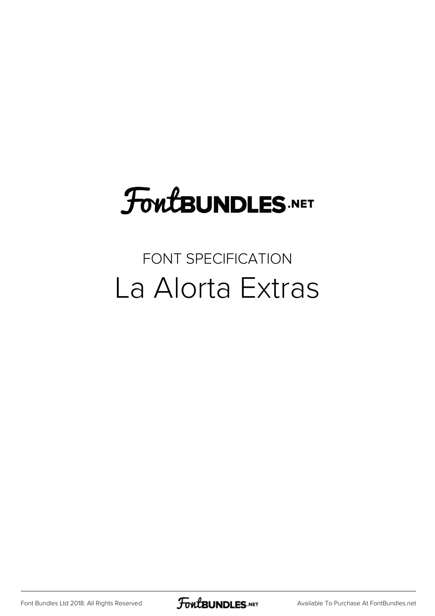# **FoutBUNDLES.NET**

### FONT SPECIFICATION La Alorta Extras

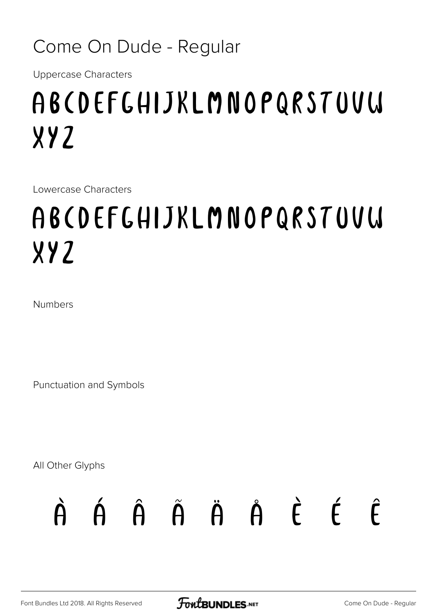#### Come On Dude - Regular

Uppercase Characters

# ABCDEFGHIJKLMNOPQRSTUVW XYZ

Lowercase Characters

# abcdefghijklmnopqrstuvw xyz

Numbers

Punctuation and Symbols

All Other Glyphs

# À Á Â Ã Ä Å È É Ê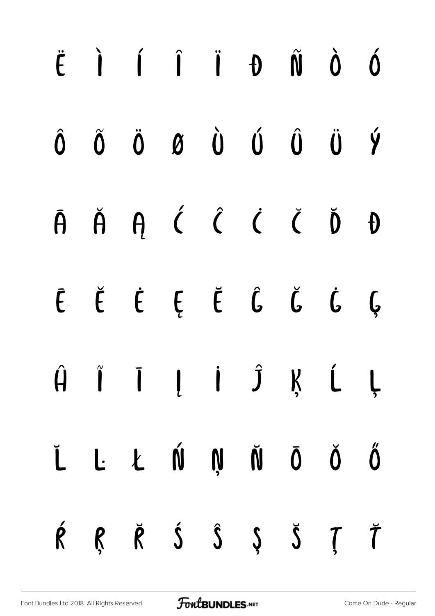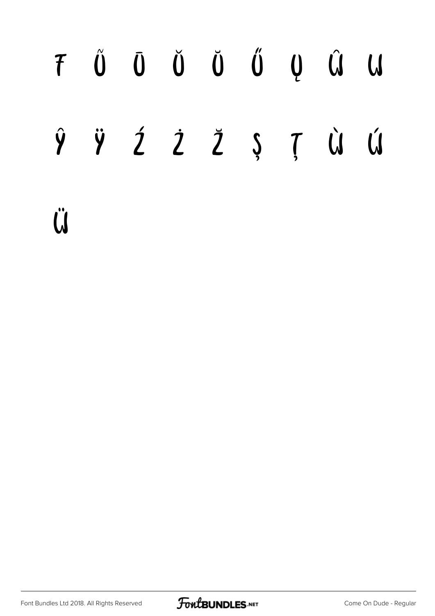### $T \quad \tilde{U} \quad \tilde{U} \quad \tilde{U} \quad \tilde{U} \quad \tilde{U} \quad Q \quad \tilde{U} \quad U$ Ź Ż Ž Ș Ţ Ù ÿ Ú ŷ Ü

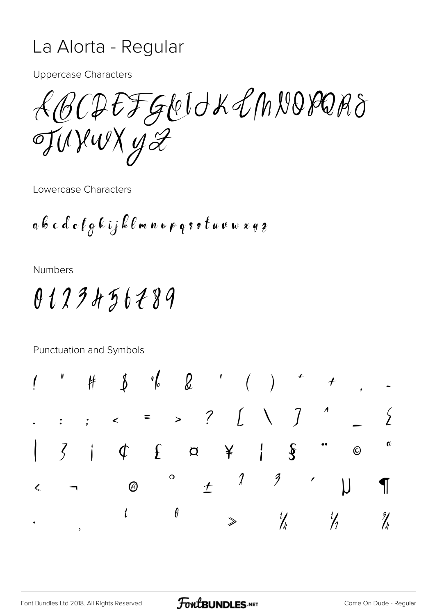#### La Alorta - Regular

**Uppercase Characters** 

LBCDEFGLOUXLMVORORS TUYWXYZ

Lowercase Characters

**Numbers** 

### 0123456289

Punctuation and Symbols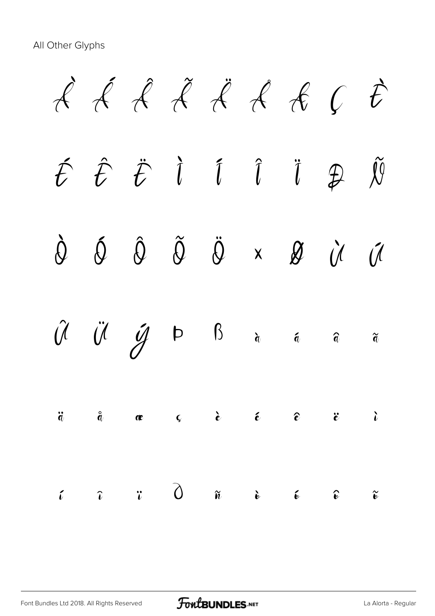All Other Glyphs

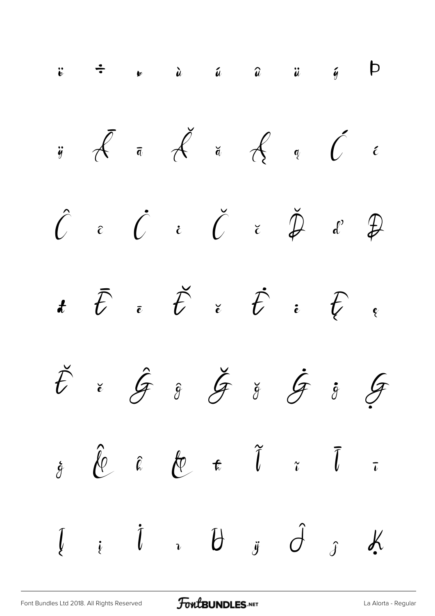$$
\begin{array}{cccccccccccc}\n\ddot{\cdot} & \dot{\cdot} & \dot{\cdot} & \dot{\cdot} & \dot{\cdot} & \dot{\cdot} & \dot{\cdot} & \dot{\cdot} & \dot{\cdot} & \dot{\cdot} & \dot{\cdot} & \dot{\cdot} & \dot{\cdot} & \dot{\cdot} & \dot{\cdot} & \dot{\cdot} & \dot{\cdot} & \dot{\cdot} & \dot{\cdot} & \dot{\cdot} & \dot{\cdot} & \dot{\cdot} & \dot{\cdot} & \dot{\cdot} & \dot{\cdot} & \dot{\cdot} & \dot{\cdot} & \dot{\cdot} & \dot{\cdot} & \dot{\cdot} & \dot{\cdot} & \dot{\cdot} & \dot{\cdot} & \dot{\cdot} & \dot{\cdot} & \dot{\cdot} & \dot{\cdot} & \dot{\cdot} & \dot{\cdot} & \dot{\cdot} & \dot{\cdot} & \dot{\cdot} & \dot{\cdot} & \dot{\cdot} & \dot{\cdot} & \dot{\cdot} & \dot{\cdot} & \dot{\cdot} & \dot{\cdot} & \dot{\cdot} & \dot{\cdot} & \dot{\cdot} & \dot{\cdot} & \dot{\cdot} & \dot{\cdot} & \dot{\cdot} & \dot{\cdot} & \dot{\cdot} & \dot{\cdot} & \dot{\cdot} & \dot{\cdot} & \dot{\cdot} & \dot{\cdot} & \dot{\cdot} & \dot{\cdot} & \dot{\cdot} & \dot{\cdot} & \dot{\cdot} & \dot{\cdot} & \dot{\cdot} & \dot{\cdot} & \dot{\cdot} & \dot{\cdot} & \dot{\cdot} & \dot{\cdot} & \dot{\cdot} & \dot{\cdot} & \dot{\cdot} & \dot{\cdot} & \dot{\cdot} & \dot{\cdot} & \dot{\cdot} & \dot{\cdot} & \dot{\cdot} & \dot{\cdot} & \dot{\cdot} & \dot{\cdot} & \dot{\cdot} & \dot{\cdot} & \dot{\cdot} & \dot{\cdot} & \dot{\cdot} & \dot{\cdot} & \dot{\cdot} & \dot{\cdot} & \dot{\cdot} & \dot{\cdot} & \dot{\cdot} & \dot{\cdot} & \dot{\cdot} & \dot{\cdot} & \dot{\cdot} & \dot{\cdot} & \dot{\cdot} & \dot{\cdot} & \dot{\cdot} & \dot{\cdot} & \dot{\cdot} & \dot{\cdot} & \dot{\cdot} & \dot{\cdot} & \dot{\cdot} & \dot{\cdot} & \dot{\cdot} & \dot{\cdot} & \dot{\cdot} & \dot{\cdot} & \dot{\cdot} & \dot{\cdot} & \dot{\cdot} & \dot{\cdot} & \dot{\cdot} & \dot{\cdot} & \dot{\cdot} & \dot{\cdot}
$$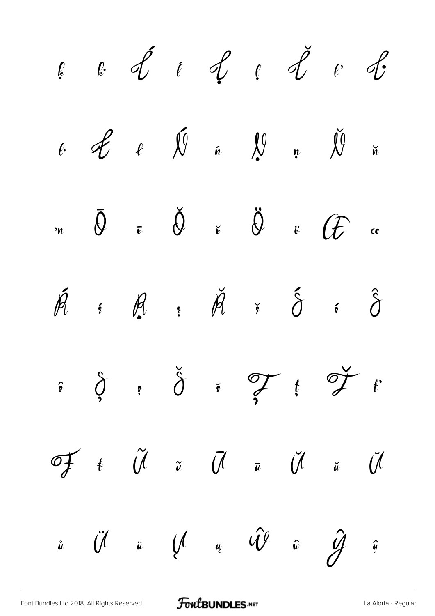

[Font Bundles Ltd 2018. All Rights Reserved](https://fontbundles.net/) **FoutBUNDLES.NET** Server [La Alorta - Regular](https://fontbundles.net/)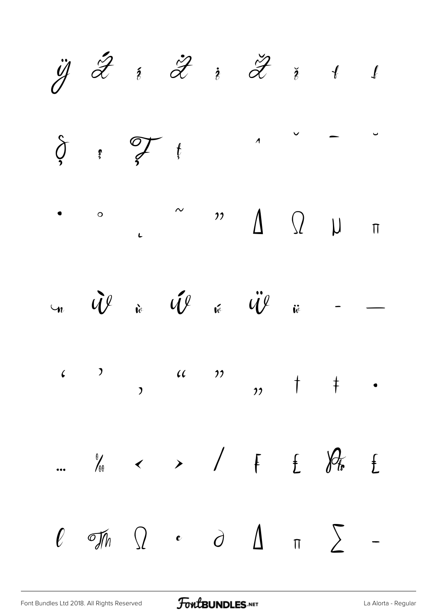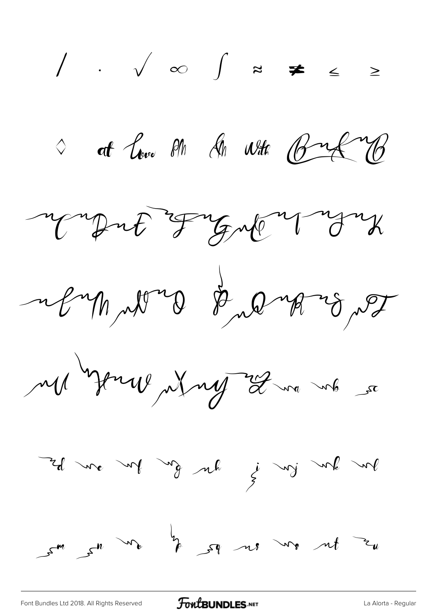∕ ∙ √ ∞ ∫ ≈ ≠ ≤ ≥  $\circ$  at  $\mathcal{C}_{\text{tree}}$  on  $\mathcal{C}_{\text{th}}$  with  $\mathcal{C}_{\text{th}}$ Mont Frank you reymmon & prominent Ma Journey my Lore up so me de grand de la fonde de  $s^{m}$  and  $s_{m}$  is  $s_{m}$  and  $s_{m}$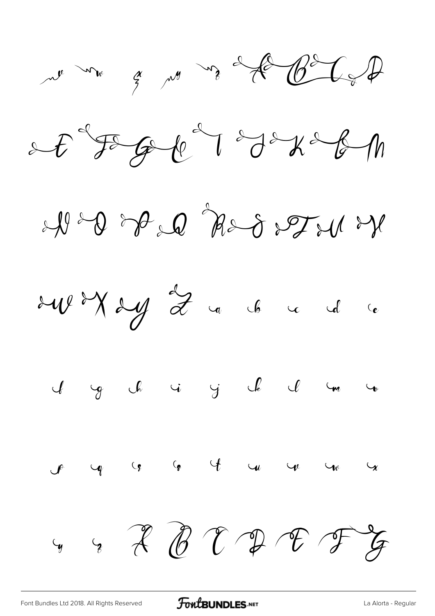







y ch i y ch cl



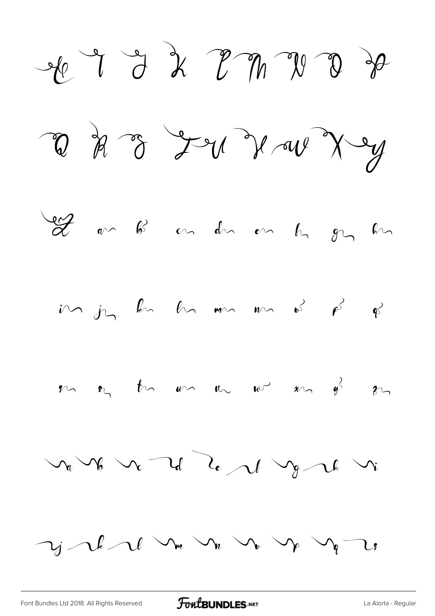$-60$  of  $-72$  de  $-70$  de a da v Lu V w X y I am B an den em hy gy hin  $\hat{m}$   $\hat{j}$   $\hat{k}$   $\hat{k}$   $\hat{m}$   $\hat{m}$   $\hat{m}$   $\hat{k}$   $\hat{\beta}$   $\hat{\beta}$   $\hat{\beta}$  $\mathbb{R}$  on the whole when  $\mathbb{R}$  and  $\mathbb{R}$  and  $\mathbb{R}$  $v_a v_b v_c v_d v_e v_d v_g v_u v_u$  $\gamma_j \sim$  but  $\sim$   $\sim$   $\sim$   $\sim$   $\sim$   $\sim$   $\sim$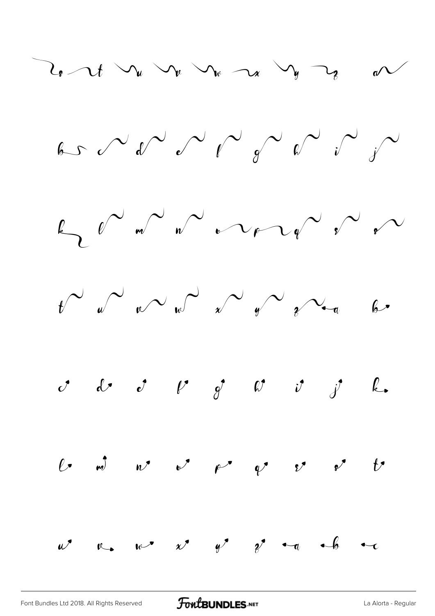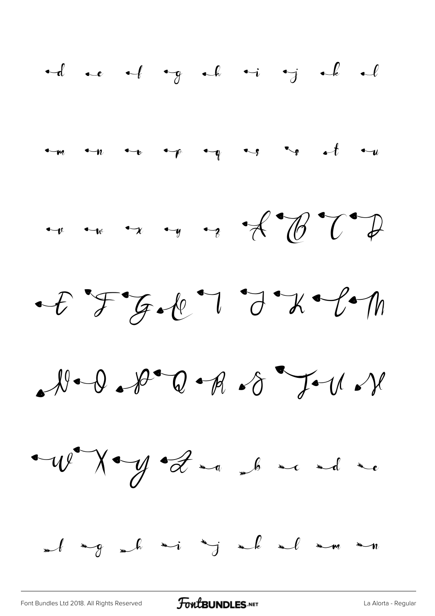

[Font Bundles Ltd 2018. All Rights Reserved](https://fontbundles.net/) **FoutBUNDLES.NET** Server [La Alorta - Regular](https://fontbundles.net/)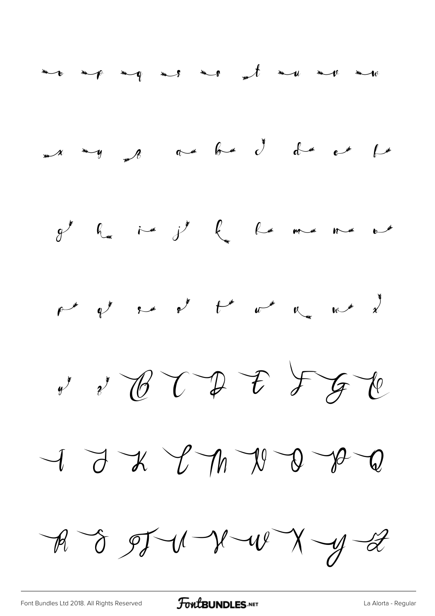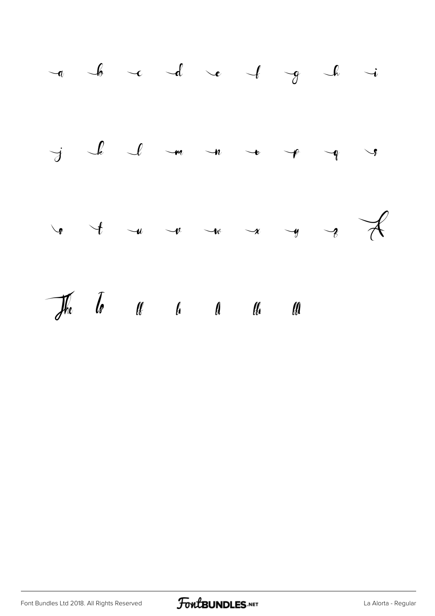

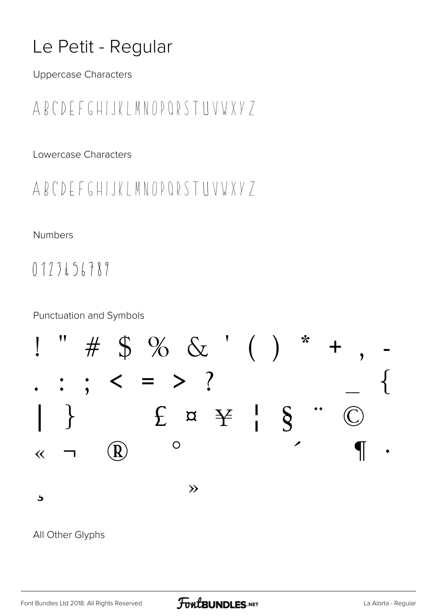### Le Petit - Regular

**Uppercase Characters** 

### ABCDEFGHIJKLMNOPQRSTUVWXYZ

Lowercase Characters

#### ABCDEFGHIJKLMNOPQRSTUVWXY7

#### Numbers

0123456789

**Punctuation and Symbols** 



#### All Other Glyphs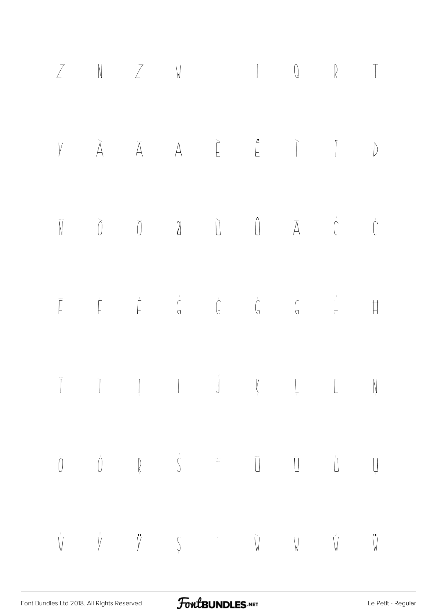|  |  |  | $Z$ N $Z$ W $1$ Q $R$ T                                                                                                                                                                                                                                                                                                                                                                                                                                                                                                            |  |
|--|--|--|------------------------------------------------------------------------------------------------------------------------------------------------------------------------------------------------------------------------------------------------------------------------------------------------------------------------------------------------------------------------------------------------------------------------------------------------------------------------------------------------------------------------------------|--|
|  |  |  | $Y \qquad \tilde{A} \qquad \tilde{A} \qquad \dot{\tilde{A}} \qquad \tilde{E} \qquad \tilde{E} \qquad \tilde{I} \qquad \tilde{I} \qquad \vartheta$                                                                                                                                                                                                                                                                                                                                                                                  |  |
|  |  |  | $\begin{matrix} \widehat{\mathbb{N}} & \widehat{\mathbb{O}} & \widehat{\mathbb{O}} & \widehat{\mathbb{Q}} & \widehat{\mathbb{Q}} & \widehat{\mathbb{Q}} & \widehat{\mathbb{Q}} & \widehat{\mathbb{Q}} & \widehat{\mathbb{Q}} & \widehat{\mathbb{Q}} & \widehat{\mathbb{Q}} & \widehat{\mathbb{Q}} & \widehat{\mathbb{Q}} & \widehat{\mathbb{Q}} & \widehat{\mathbb{Q}} & \widehat{\mathbb{Q}} & \widehat{\mathbb{Q}} & \widehat{\mathbb{Q}} & \widehat{\mathbb{Q}} & \widehat{\mathbb{Q}} & \widehat{\mathbb{Q}} & \widehat{\math$ |  |
|  |  |  | $\begin{array}{ccccccccccccccccc} \multicolumn{4}{c }{-} & & \multicolumn{4}{c }{-} & & \multicolumn{4}{c }{-} & & \multicolumn{4}{c }{-} & & \multicolumn{4}{c }{-} & & \multicolumn{4}{c }{-} & & \multicolumn{4}{c }{-} & & \multicolumn{4}{c }{-} & & \multicolumn{4}{c }{-} & & \multicolumn{4}{c }{-} & & \multicolumn{4}{c }{-} & & \multicolumn{4}{c }{-} & & \multicolumn{4}{c }{-} & & \multicolumn{4}{c }{-} & & \multicolumn{4}{c }{-} &$                                                                              |  |
|  |  |  |                                                                                                                                                                                                                                                                                                                                                                                                                                                                                                                                    |  |
|  |  |  | $\begin{array}{ccccccccccccccccc} \overline{0} & \overline{0} & \overline{0} & \overline{0} & \overline{0} & \overline{0} & \overline{0} & \overline{0} & \overline{0} & \overline{0} & \overline{0} & \overline{0} & \overline{0} & \overline{0} & \overline{0} & \overline{0} & \overline{0} & \overline{0} & \overline{0} & \overline{0} & \overline{0} & \overline{0} & \overline{0} & \overline{0} & \overline{0} & \overline{0} & \overline{0} & \overline{0} & \overline{0} & \overline{0}$                                 |  |
|  |  |  | $\begin{matrix} \dot{V} & \dot{V} & \ddot{V} & \ddot{V} & \dot{V} & \dot{V} & \dot{V} & \dot{V} \end{matrix}$                                                                                                                                                                                                                                                                                                                                                                                                                      |  |